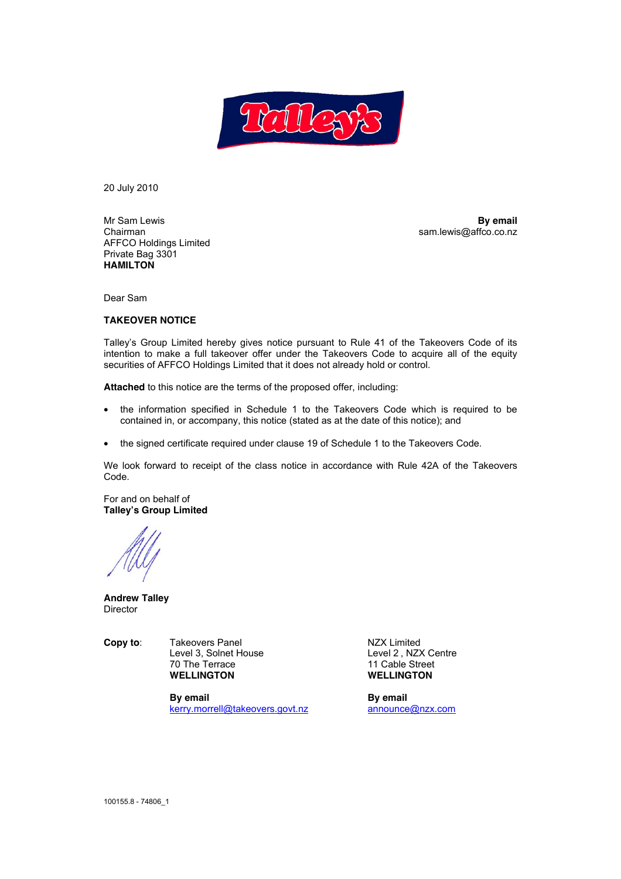

20 July 2010

Mr Sam Lewis **By email** Chairman sam.lewis@affco.co.nz AFFCO Holdings Limited Private Bag 3301 **HAMILTON** 

Dear Sam

#### **TAKEOVER NOTICE**

Talley's Group Limited hereby gives notice pursuant to Rule 41 of the Takeovers Code of its intention to make a full takeover offer under the Takeovers Code to acquire all of the equity securities of AFFCO Holdings Limited that it does not already hold or control.

**Attached** to this notice are the terms of the proposed offer, including:

- the information specified in Schedule 1 to the Takeovers Code which is required to be contained in, or accompany, this notice (stated as at the date of this notice); and
- the signed certificate required under clause 19 of Schedule 1 to the Takeovers Code.

We look forward to receipt of the class notice in accordance with Rule 42A of the Takeovers Code.

For and on behalf of **Talley's Group Limited** 

**Andrew Talley**  Director

**Copy to:** Takeovers Panel **NZX** Limited Level 3, Solnet House Level 2, NZX Centre 70 The Terrace 11 Cable Street **WELLINGTON WELLINGTON** 

> **By email By email** kerry.morrell@takeovers.govt.nz announce@nzx.com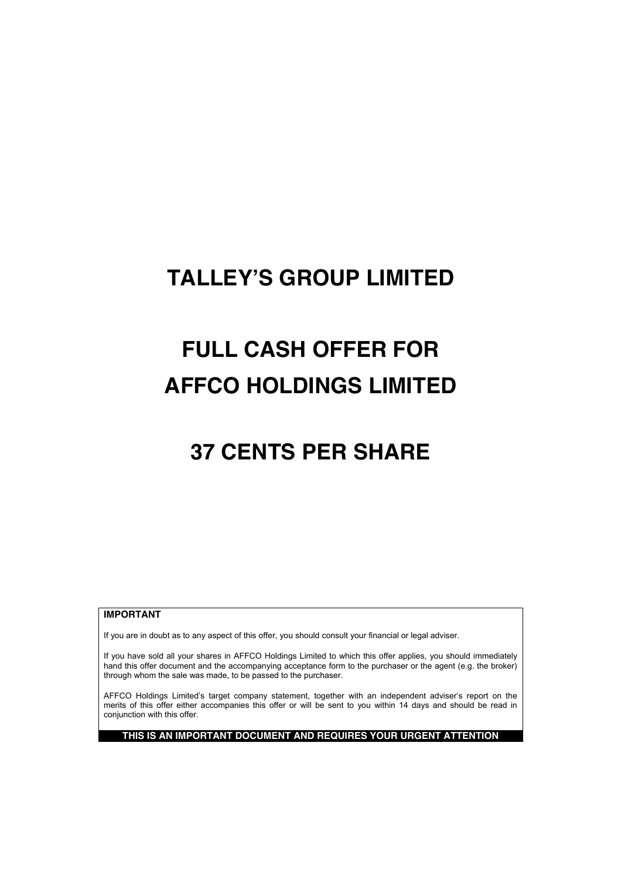# **TALLEY'S GROUP LIMITED**

# **FULL CASH OFFER FOR AFFCO HOLDINGS LIMITED**

# **37 CENTS PER SHARE**

## **IMPORTANT**

If you are in doubt as to any aspect of this offer, you should consult your financial or legal adviser.

If you have sold all your shares in AFFCO Holdings Limited to which this offer applies, you should immediately hand this offer document and the accompanying acceptance form to the purchaser or the agent (e.g. the broker) through whom the sale was made, to be passed to the purchaser.

AFFCO Holdings Limited's target company statement, together with an independent adviser's report on the merits of this offer either accompanies this offer or will be sent to you within 14 days and should be read in conjunction with this offer.

**THIS IS AN IMPORTANT DOCUMENT AND REQUIRES YOUR URGENT ATTENTION**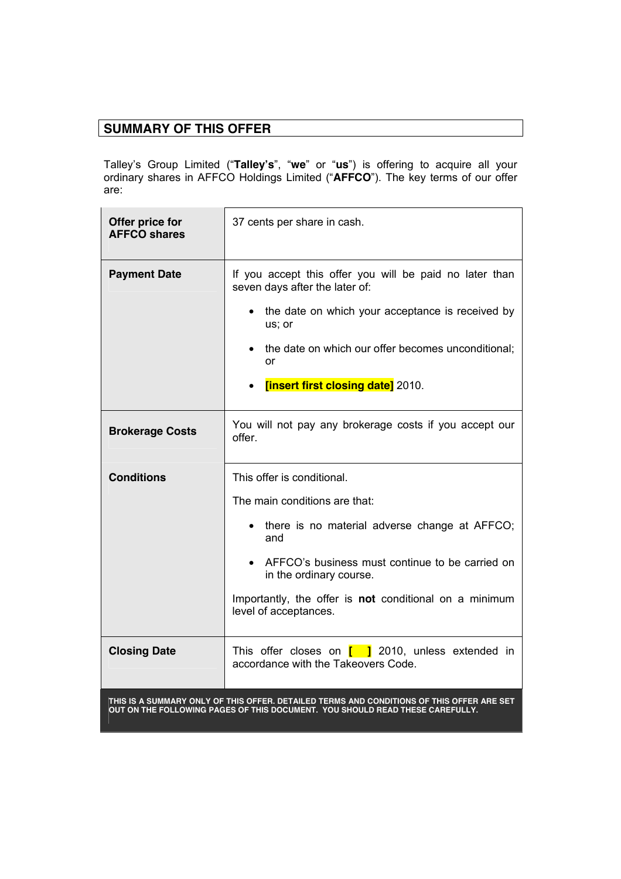# **SUMMARY OF THIS OFFER**

Talley's Group Limited ("**Talley's**", "**we**" or "**us**") is offering to acquire all your ordinary shares in AFFCO Holdings Limited ("**AFFCO**"). The key terms of our offer are:

| Offer price for<br><b>AFFCO shares</b> | 37 cents per share in cash.                                                                                                                                                                                                                                     |
|----------------------------------------|-----------------------------------------------------------------------------------------------------------------------------------------------------------------------------------------------------------------------------------------------------------------|
| <b>Payment Date</b>                    | If you accept this offer you will be paid no later than<br>seven days after the later of:<br>the date on which your acceptance is received by<br>us; or<br>the date on which our offer becomes unconditional;<br><b>or</b><br>[insert first closing date] 2010. |
| <b>Brokerage Costs</b>                 | You will not pay any brokerage costs if you accept our<br>offer.                                                                                                                                                                                                |
| <b>Conditions</b>                      | This offer is conditional.<br>The main conditions are that:<br>there is no material adverse change at AFFCO;<br>and<br>• AFFCO's business must continue to be carried on<br>in the ordinary course.                                                             |
|                                        | Importantly, the offer is not conditional on a minimum<br>level of acceptances.                                                                                                                                                                                 |
| <b>Closing Date</b>                    | This offer closes on $\begin{bmatrix} 1 \\ 2 \end{bmatrix}$ 2010, unless extended in<br>accordance with the Takeovers Code.                                                                                                                                     |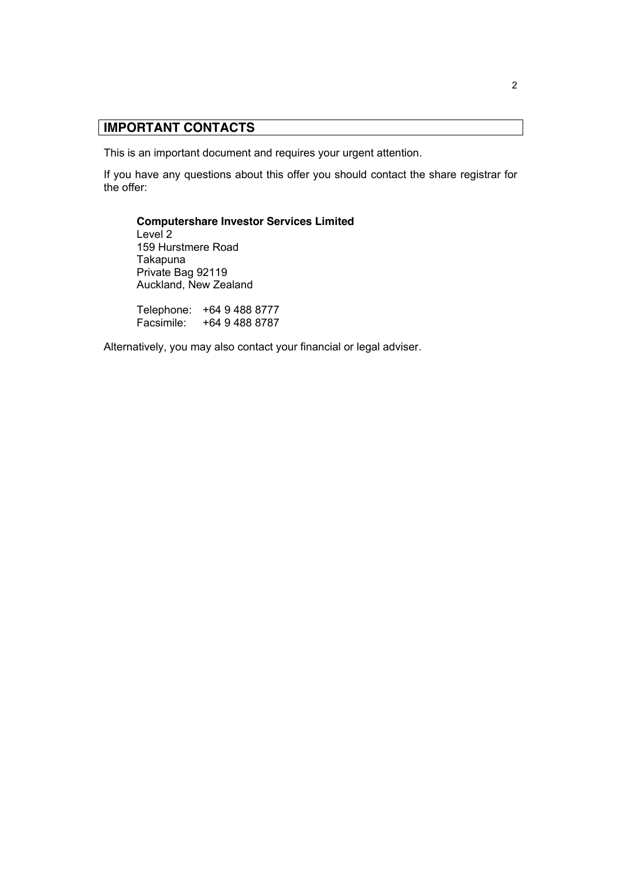# **IMPORTANT CONTACTS**

This is an important document and requires your urgent attention.

If you have any questions about this offer you should contact the share registrar for the offer:

**Computershare Investor Services Limited** Level 2 159 Hurstmere Road Takapuna Private Bag 92119 Auckland, New Zealand

Telephone: +64 9 488 8777 Facsimile: +64 9 488 8787

Alternatively, you may also contact your financial or legal adviser.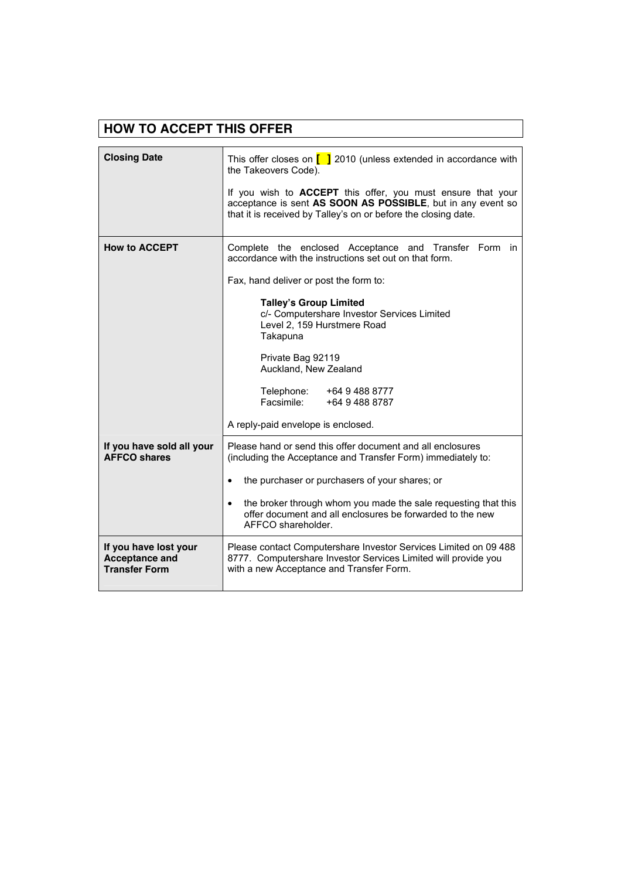| <b>HOW TO ACCEPT THIS OFFER</b>                                        |                                                                                                                                                                                                     |  |  |  |
|------------------------------------------------------------------------|-----------------------------------------------------------------------------------------------------------------------------------------------------------------------------------------------------|--|--|--|
|                                                                        |                                                                                                                                                                                                     |  |  |  |
| <b>Closing Date</b>                                                    | This offer closes on $\begin{bmatrix} 1 & 2010 \\ 0 & 101 \end{bmatrix}$ (unless extended in accordance with<br>the Takeovers Code).                                                                |  |  |  |
|                                                                        | If you wish to <b>ACCEPT</b> this offer, you must ensure that your<br>acceptance is sent AS SOON AS POSSIBLE, but in any event so<br>that it is received by Talley's on or before the closing date. |  |  |  |
| <b>How to ACCEPT</b>                                                   | Complete the enclosed Acceptance and Transfer Form in<br>accordance with the instructions set out on that form.                                                                                     |  |  |  |
|                                                                        | Fax, hand deliver or post the form to:                                                                                                                                                              |  |  |  |
|                                                                        | <b>Talley's Group Limited</b><br>c/- Computershare Investor Services Limited<br>Level 2, 159 Hurstmere Road<br>Takapuna                                                                             |  |  |  |
|                                                                        | Private Bag 92119<br>Auckland, New Zealand                                                                                                                                                          |  |  |  |
|                                                                        | Telephone:<br>+64 9 488 8777<br>Facsimile:<br>+64 9 488 8787                                                                                                                                        |  |  |  |
|                                                                        | A reply-paid envelope is enclosed.                                                                                                                                                                  |  |  |  |
| If you have sold all your<br><b>AFFCO shares</b>                       | Please hand or send this offer document and all enclosures<br>(including the Acceptance and Transfer Form) immediately to:                                                                          |  |  |  |
|                                                                        | the purchaser or purchasers of your shares; or                                                                                                                                                      |  |  |  |
|                                                                        | the broker through whom you made the sale requesting that this<br>$\bullet$<br>offer document and all enclosures be forwarded to the new<br>AFFCO shareholder.                                      |  |  |  |
| If you have lost your<br><b>Acceptance and</b><br><b>Transfer Form</b> | Please contact Computershare Investor Services Limited on 09 488<br>8777. Computershare Investor Services Limited will provide you<br>with a new Acceptance and Transfer Form.                      |  |  |  |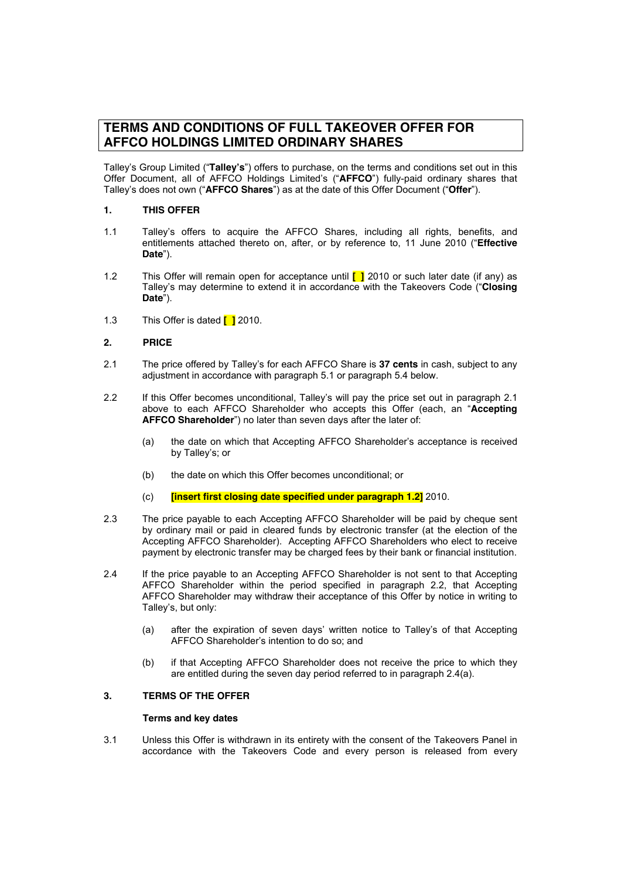## **TERMS AND CONDITIONS OF FULL TAKEOVER OFFER FOR AFFCO HOLDINGS LIMITED ORDINARY SHARES**

Talley's Group Limited ("**Talley's**") offers to purchase, on the terms and conditions set out in this Offer Document, all of AFFCO Holdings Limited's ("**AFFCO**") fully-paid ordinary shares that Talley's does not own ("**AFFCO Shares**") as at the date of this Offer Document ("**Offer**").

### **1. THIS OFFER**

- 1.1 Talley's offers to acquire the AFFCO Shares, including all rights, benefits, and entitlements attached thereto on, after, or by reference to, 11 June 2010 ("**Effective Date**").
- 1.2 This Offer will remain open for acceptance until **[ ]** 2010 or such later date (if any) as Talley's may determine to extend it in accordance with the Takeovers Code ("**Closing Date**").
- 1.3 This Offer is dated **[ ]** 2010.

#### **2. PRICE**

- 2.1 The price offered by Talley's for each AFFCO Share is **37 cents** in cash, subject to any adjustment in accordance with paragraph 5.1 or paragraph 5.4 below.
- 2.2 If this Offer becomes unconditional, Talley's will pay the price set out in paragraph 2.1 above to each AFFCO Shareholder who accepts this Offer (each, an "**Accepting AFFCO Shareholder**") no later than seven days after the later of:
	- (a) the date on which that Accepting AFFCO Shareholder's acceptance is received by Talley's; or
	- (b) the date on which this Offer becomes unconditional; or
	- (c) **[insert first closing date specified under paragraph 1.2]** 2010.
- 2.3 The price payable to each Accepting AFFCO Shareholder will be paid by cheque sent by ordinary mail or paid in cleared funds by electronic transfer (at the election of the Accepting AFFCO Shareholder). Accepting AFFCO Shareholders who elect to receive payment by electronic transfer may be charged fees by their bank or financial institution.
- 2.4 If the price payable to an Accepting AFFCO Shareholder is not sent to that Accepting AFFCO Shareholder within the period specified in paragraph 2.2, that Accepting AFFCO Shareholder may withdraw their acceptance of this Offer by notice in writing to Talley's, but only:
	- (a) after the expiration of seven days' written notice to Talley's of that Accepting AFFCO Shareholder's intention to do so; and
	- (b) if that Accepting AFFCO Shareholder does not receive the price to which they are entitled during the seven day period referred to in paragraph 2.4(a).

### **3. TERMS OF THE OFFER**

#### **Terms and key dates**

3.1 Unless this Offer is withdrawn in its entirety with the consent of the Takeovers Panel in accordance with the Takeovers Code and every person is released from every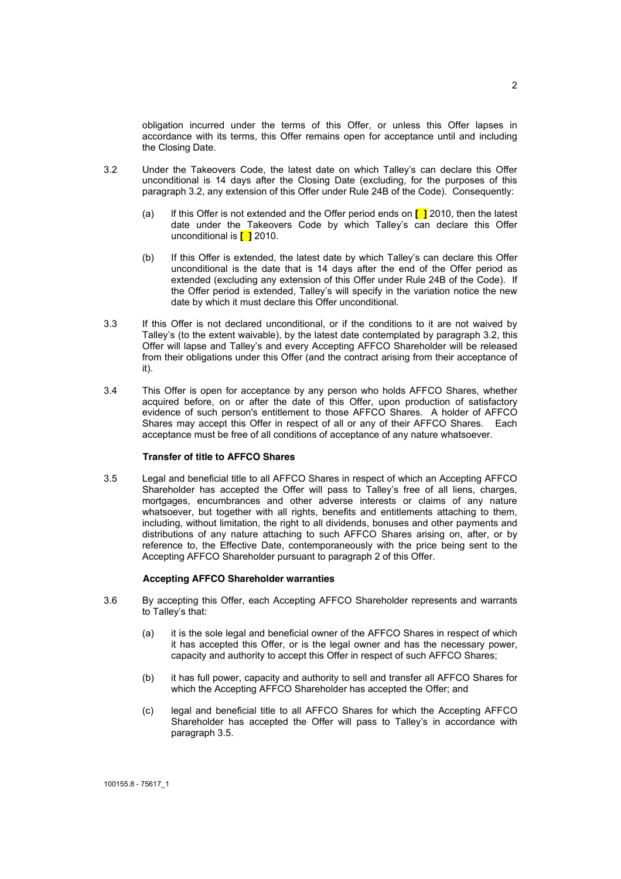obligation incurred under the terms of this Offer, or unless this Offer lapses in accordance with its terms, this Offer remains open for acceptance until and including the Closing Date.

- 3.2 Under the Takeovers Code, the latest date on which Talley's can declare this Offer unconditional is 14 days after the Closing Date (excluding, for the purposes of this paragraph 3.2, any extension of this Offer under Rule 24B of the Code). Consequently:
	- (a) lf this Offer is not extended and the Offer period ends on **[ ]** 2010, then the latest date under the Takeovers Code by which Talley's can declare this Offer unconditional is **[ ]** 2010.
	- (b) If this Offer is extended, the latest date by which Talley's can declare this Offer unconditional is the date that is 14 days after the end of the Offer period as extended (excluding any extension of this Offer under Rule 24B of the Code). If the Offer period is extended, Talley's will specify in the variation notice the new date by which it must declare this Offer unconditional.
- 3.3 If this Offer is not declared unconditional, or if the conditions to it are not waived by Talley's (to the extent waivable), by the latest date contemplated by paragraph 3.2, this Offer will lapse and Talley's and every Accepting AFFCO Shareholder will be released from their obligations under this Offer (and the contract arising from their acceptance of it).
- 3.4 This Offer is open for acceptance by any person who holds AFFCO Shares, whether acquired before, on or after the date of this Offer, upon production of satisfactory evidence of such person's entitlement to those AFFCO Shares. A holder of AFFCO Shares may accept this Offer in respect of all or any of their AFFCO Shares. Each acceptance must be free of all conditions of acceptance of any nature whatsoever.

#### **Transfer of title to AFFCO Shares**

3.5 Legal and beneficial title to all AFFCO Shares in respect of which an Accepting AFFCO Shareholder has accepted the Offer will pass to Talley's free of all liens, charges, mortgages, encumbrances and other adverse interests or claims of any nature whatsoever, but together with all rights, benefits and entitlements attaching to them, including, without limitation, the right to all dividends, bonuses and other payments and distributions of any nature attaching to such AFFCO Shares arising on, after, or by reference to, the Effective Date, contemporaneously with the price being sent to the Accepting AFFCO Shareholder pursuant to paragraph 2 of this Offer.

#### **Accepting AFFCO Shareholder warranties**

- 3.6 By accepting this Offer, each Accepting AFFCO Shareholder represents and warrants to Talley's that:
	- (a) it is the sole legal and beneficial owner of the AFFCO Shares in respect of which it has accepted this Offer, or is the legal owner and has the necessary power, capacity and authority to accept this Offer in respect of such AFFCO Shares;
	- (b) it has full power, capacity and authority to sell and transfer all AFFCO Shares for which the Accepting AFFCO Shareholder has accepted the Offer; and
	- (c) legal and beneficial title to all AFFCO Shares for which the Accepting AFFCO Shareholder has accepted the Offer will pass to Talley's in accordance with paragraph 3.5.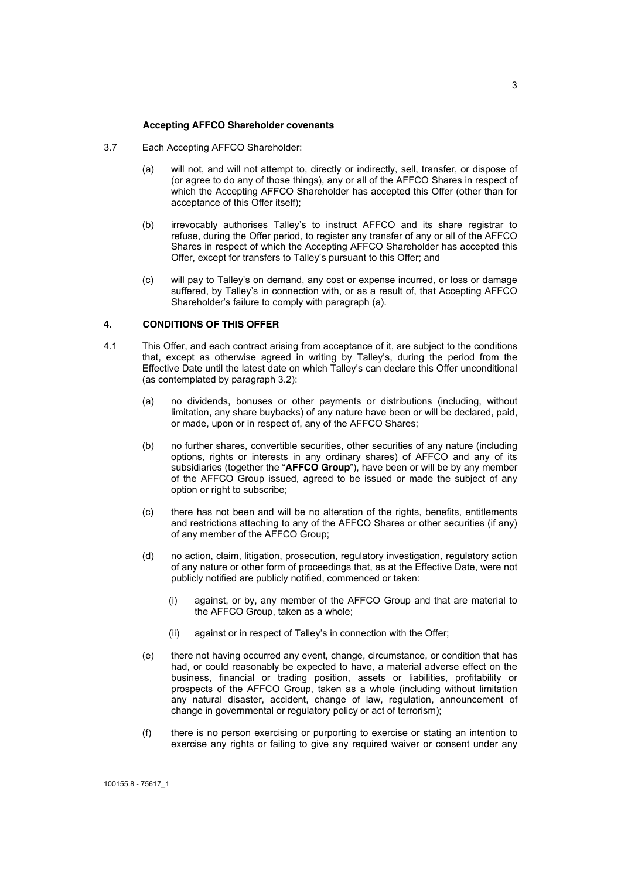#### **Accepting AFFCO Shareholder covenants**

- 3.7 Each Accepting AFFCO Shareholder:
	- (a) will not, and will not attempt to, directly or indirectly, sell, transfer, or dispose of (or agree to do any of those things), any or all of the AFFCO Shares in respect of which the Accepting AFFCO Shareholder has accepted this Offer (other than for acceptance of this Offer itself);
	- (b) irrevocably authorises Talley's to instruct AFFCO and its share registrar to refuse, during the Offer period, to register any transfer of any or all of the AFFCO Shares in respect of which the Accepting AFFCO Shareholder has accepted this Offer, except for transfers to Talley's pursuant to this Offer; and
	- (c) will pay to Talley's on demand, any cost or expense incurred, or loss or damage suffered, by Talley's in connection with, or as a result of, that Accepting AFFCO Shareholder's failure to comply with paragraph (a).

#### **4. CONDITIONS OF THIS OFFER**

- 4.1 This Offer, and each contract arising from acceptance of it, are subject to the conditions that, except as otherwise agreed in writing by Talley's, during the period from the Effective Date until the latest date on which Talley's can declare this Offer unconditional (as contemplated by paragraph 3.2):
	- (a) no dividends, bonuses or other payments or distributions (including, without limitation, any share buybacks) of any nature have been or will be declared, paid, or made, upon or in respect of, any of the AFFCO Shares;
	- (b) no further shares, convertible securities, other securities of any nature (including options, rights or interests in any ordinary shares) of AFFCO and any of its subsidiaries (together the "**AFFCO Group**"), have been or will be by any member of the AFFCO Group issued, agreed to be issued or made the subject of any option or right to subscribe;
	- (c) there has not been and will be no alteration of the rights, benefits, entitlements and restrictions attaching to any of the AFFCO Shares or other securities (if any) of any member of the AFFCO Group;
	- (d) no action, claim, litigation, prosecution, regulatory investigation, regulatory action of any nature or other form of proceedings that, as at the Effective Date, were not publicly notified are publicly notified, commenced or taken:
		- (i) against, or by, any member of the AFFCO Group and that are material to the AFFCO Group, taken as a whole;
		- (ii) against or in respect of Talley's in connection with the Offer;
	- (e) there not having occurred any event, change, circumstance, or condition that has had, or could reasonably be expected to have, a material adverse effect on the business, financial or trading position, assets or liabilities, profitability or prospects of the AFFCO Group, taken as a whole (including without limitation any natural disaster, accident, change of law, regulation, announcement of change in governmental or regulatory policy or act of terrorism);
	- (f) there is no person exercising or purporting to exercise or stating an intention to exercise any rights or failing to give any required waiver or consent under any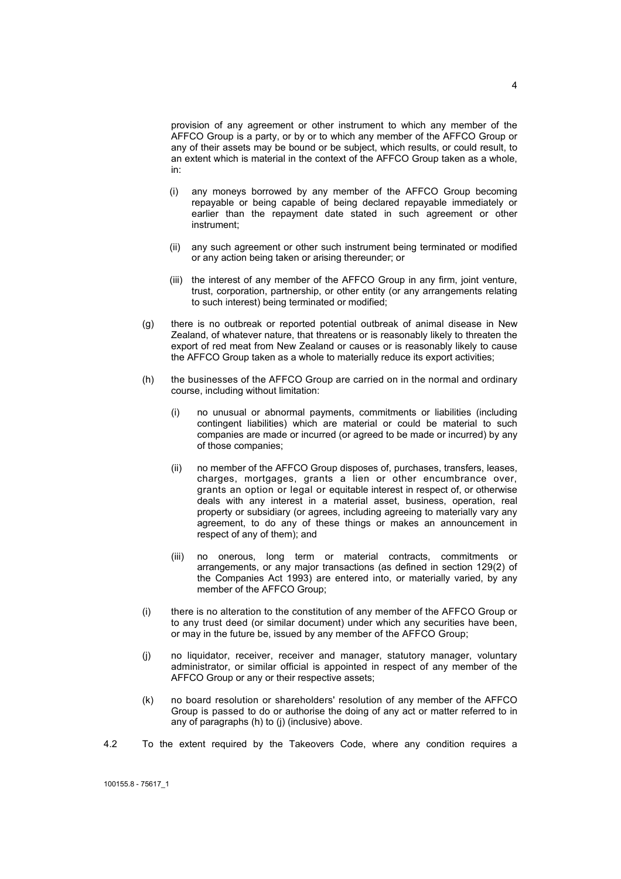provision of any agreement or other instrument to which any member of the AFFCO Group is a party, or by or to which any member of the AFFCO Group or any of their assets may be bound or be subject, which results, or could result, to an extent which is material in the context of the AFFCO Group taken as a whole, in:

- (i) any moneys borrowed by any member of the AFFCO Group becoming repayable or being capable of being declared repayable immediately or earlier than the repayment date stated in such agreement or other instrument;
- (ii) any such agreement or other such instrument being terminated or modified or any action being taken or arising thereunder; or
- (iii) the interest of any member of the AFFCO Group in any firm, joint venture, trust, corporation, partnership, or other entity (or any arrangements relating to such interest) being terminated or modified;
- (g) there is no outbreak or reported potential outbreak of animal disease in New Zealand, of whatever nature, that threatens or is reasonably likely to threaten the export of red meat from New Zealand or causes or is reasonably likely to cause the AFFCO Group taken as a whole to materially reduce its export activities;
- (h) the businesses of the AFFCO Group are carried on in the normal and ordinary course, including without limitation:
	- (i) no unusual or abnormal payments, commitments or liabilities (including contingent liabilities) which are material or could be material to such companies are made or incurred (or agreed to be made or incurred) by any of those companies;
	- (ii) no member of the AFFCO Group disposes of, purchases, transfers, leases, charges, mortgages, grants a lien or other encumbrance over, grants an option or legal or equitable interest in respect of, or otherwise deals with any interest in a material asset, business, operation, real property or subsidiary (or agrees, including agreeing to materially vary any agreement, to do any of these things or makes an announcement in respect of any of them); and
	- (iii) no onerous, long term or material contracts, commitments or arrangements, or any major transactions (as defined in section 129(2) of the Companies Act 1993) are entered into, or materially varied, by any member of the AFFCO Group;
- (i) there is no alteration to the constitution of any member of the AFFCO Group or to any trust deed (or similar document) under which any securities have been, or may in the future be, issued by any member of the AFFCO Group;
- (j) no liquidator, receiver, receiver and manager, statutory manager, voluntary administrator, or similar official is appointed in respect of any member of the AFFCO Group or any or their respective assets;
- (k) no board resolution or shareholders' resolution of any member of the AFFCO Group is passed to do or authorise the doing of any act or matter referred to in any of paragraphs (h) to (j) (inclusive) above.
- 4.2 To the extent required by the Takeovers Code, where any condition requires a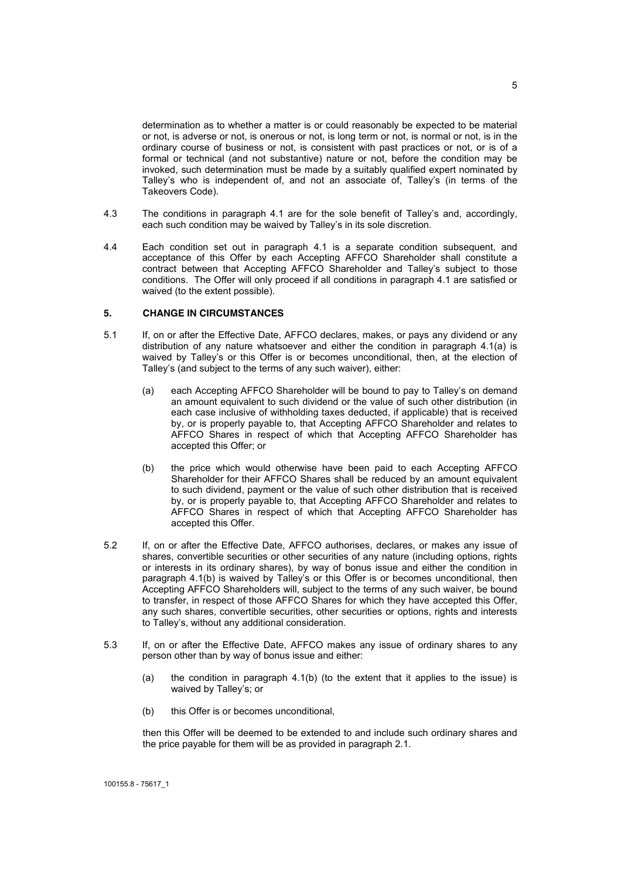determination as to whether a matter is or could reasonably be expected to be material or not, is adverse or not, is onerous or not, is long term or not, is normal or not, is in the ordinary course of business or not, is consistent with past practices or not, or is of a formal or technical (and not substantive) nature or not, before the condition may be invoked, such determination must be made by a suitably qualified expert nominated by Talley's who is independent of, and not an associate of, Talley's (in terms of the Takeovers Code).

- 4.3 The conditions in paragraph 4.1 are for the sole benefit of Talley's and, accordingly, each such condition may be waived by Talley's in its sole discretion.
- 4.4 Each condition set out in paragraph 4.1 is a separate condition subsequent, and acceptance of this Offer by each Accepting AFFCO Shareholder shall constitute a contract between that Accepting AFFCO Shareholder and Talley's subject to those conditions. The Offer will only proceed if all conditions in paragraph 4.1 are satisfied or waived (to the extent possible).

#### **5. CHANGE IN CIRCUMSTANCES**

- 5.1 If, on or after the Effective Date, AFFCO declares, makes, or pays any dividend or any distribution of any nature whatsoever and either the condition in paragraph 4.1(a) is waived by Talley's or this Offer is or becomes unconditional, then, at the election of Talley's (and subject to the terms of any such waiver), either:
	- (a) each Accepting AFFCO Shareholder will be bound to pay to Talley's on demand an amount equivalent to such dividend or the value of such other distribution (in each case inclusive of withholding taxes deducted, if applicable) that is received by, or is properly payable to, that Accepting AFFCO Shareholder and relates to AFFCO Shares in respect of which that Accepting AFFCO Shareholder has accepted this Offer; or
	- (b) the price which would otherwise have been paid to each Accepting AFFCO Shareholder for their AFFCO Shares shall be reduced by an amount equivalent to such dividend, payment or the value of such other distribution that is received by, or is properly payable to, that Accepting AFFCO Shareholder and relates to AFFCO Shares in respect of which that Accepting AFFCO Shareholder has accepted this Offer.
- 5.2 If, on or after the Effective Date, AFFCO authorises, declares, or makes any issue of shares, convertible securities or other securities of any nature (including options, rights or interests in its ordinary shares), by way of bonus issue and either the condition in paragraph 4.1(b) is waived by Talley's or this Offer is or becomes unconditional, then Accepting AFFCO Shareholders will, subject to the terms of any such waiver, be bound to transfer, in respect of those AFFCO Shares for which they have accepted this Offer, any such shares, convertible securities, other securities or options, rights and interests to Talley's, without any additional consideration.
- 5.3 If, on or after the Effective Date, AFFCO makes any issue of ordinary shares to any person other than by way of bonus issue and either:
	- (a) the condition in paragraph 4.1(b) (to the extent that it applies to the issue) is waived by Talley's; or
	- (b) this Offer is or becomes unconditional,

then this Offer will be deemed to be extended to and include such ordinary shares and the price payable for them will be as provided in paragraph 2.1.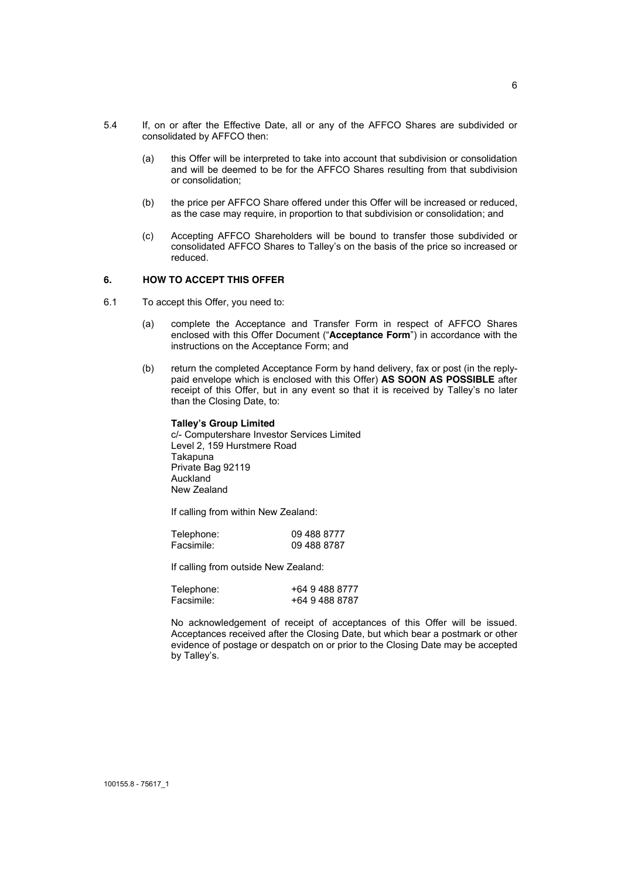- 5.4 If, on or after the Effective Date, all or any of the AFFCO Shares are subdivided or consolidated by AFFCO then:
	- (a) this Offer will be interpreted to take into account that subdivision or consolidation and will be deemed to be for the AFFCO Shares resulting from that subdivision or consolidation;
	- (b) the price per AFFCO Share offered under this Offer will be increased or reduced, as the case may require, in proportion to that subdivision or consolidation; and
	- (c) Accepting AFFCO Shareholders will be bound to transfer those subdivided or consolidated AFFCO Shares to Talley's on the basis of the price so increased or reduced.

## **6. HOW TO ACCEPT THIS OFFER**

- 6.1 To accept this Offer, you need to:
	- (a) complete the Acceptance and Transfer Form in respect of AFFCO Shares enclosed with this Offer Document ("**Acceptance Form**") in accordance with the instructions on the Acceptance Form; and
	- (b) return the completed Acceptance Form by hand delivery, fax or post (in the replypaid envelope which is enclosed with this Offer) **AS SOON AS POSSIBLE** after receipt of this Offer, but in any event so that it is received by Talley's no later than the Closing Date, to:

#### **Talley's Group Limited**

c/- Computershare Investor Services Limited Level 2, 159 Hurstmere Road Takapuna Private Bag 92119 Auckland New Zealand

If calling from within New Zealand:

| Telephone: | 09 488 8777 |
|------------|-------------|
| Facsimile: | 09 488 8787 |

If calling from outside New Zealand:

| Telephone: | +64 9 488 8777 |
|------------|----------------|
| Facsimile: | +64 9 488 8787 |

No acknowledgement of receipt of acceptances of this Offer will be issued. Acceptances received after the Closing Date, but which bear a postmark or other evidence of postage or despatch on or prior to the Closing Date may be accepted by Talley's.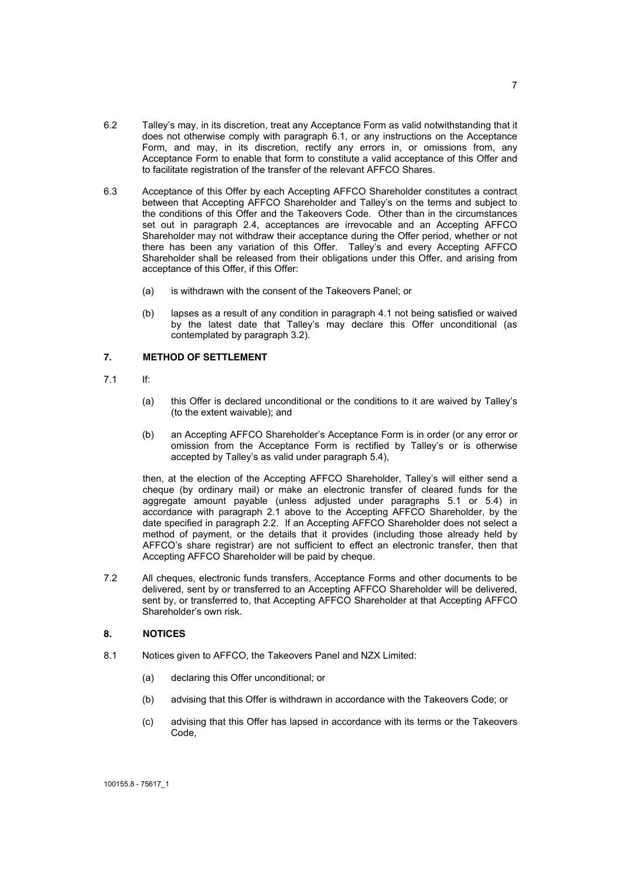- 6.2 Talley's may, in its discretion, treat any Acceptance Form as valid notwithstanding that it does not otherwise comply with paragraph 6.1, or any instructions on the Acceptance Form, and may, in its discretion, rectify any errors in, or omissions from, any Acceptance Form to enable that form to constitute a valid acceptance of this Offer and to facilitate registration of the transfer of the relevant AFFCO Shares.
- 6.3 Acceptance of this Offer by each Accepting AFFCO Shareholder constitutes a contract between that Accepting AFFCO Shareholder and Talley's on the terms and subject to the conditions of this Offer and the Takeovers Code. Other than in the circumstances set out in paragraph 2.4, acceptances are irrevocable and an Accepting AFFCO Shareholder may not withdraw their acceptance during the Offer period, whether or not there has been any variation of this Offer. Talley's and every Accepting AFFCO Shareholder shall be released from their obligations under this Offer, and arising from acceptance of this Offer, if this Offer:
	- (a) is withdrawn with the consent of the Takeovers Panel; or
	- (b) lapses as a result of any condition in paragraph 4.1 not being satisfied or waived by the latest date that Talley's may declare this Offer unconditional (as contemplated by paragraph 3.2).

#### **7. METHOD OF SETTLEMENT**

- 7.1 If:
	- (a) this Offer is declared unconditional or the conditions to it are waived by Talley's (to the extent waivable); and
	- (b) an Accepting AFFCO Shareholder's Acceptance Form is in order (or any error or omission from the Acceptance Form is rectified by Talley's or is otherwise accepted by Talley's as valid under paragraph 5.4),

then, at the election of the Accepting AFFCO Shareholder, Talley's will either send a cheque (by ordinary mail) or make an electronic transfer of cleared funds for the aggregate amount payable (unless adjusted under paragraphs 5.1 or 5.4) in accordance with paragraph 2.1 above to the Accepting AFFCO Shareholder, by the date specified in paragraph 2.2. If an Accepting AFFCO Shareholder does not select a method of payment, or the details that it provides (including those already held by AFFCO's share registrar) are not sufficient to effect an electronic transfer, then that Accepting AFFCO Shareholder will be paid by cheque.

7.2 All cheques, electronic funds transfers, Acceptance Forms and other documents to be delivered, sent by or transferred to an Accepting AFFCO Shareholder will be delivered, sent by, or transferred to, that Accepting AFFCO Shareholder at that Accepting AFFCO Shareholder's own risk.

### **8. NOTICES**

- 8.1 Notices given to AFFCO, the Takeovers Panel and NZX Limited:
	- (a) declaring this Offer unconditional; or
	- (b) advising that this Offer is withdrawn in accordance with the Takeovers Code; or
	- (c) advising that this Offer has lapsed in accordance with its terms or the Takeovers Code,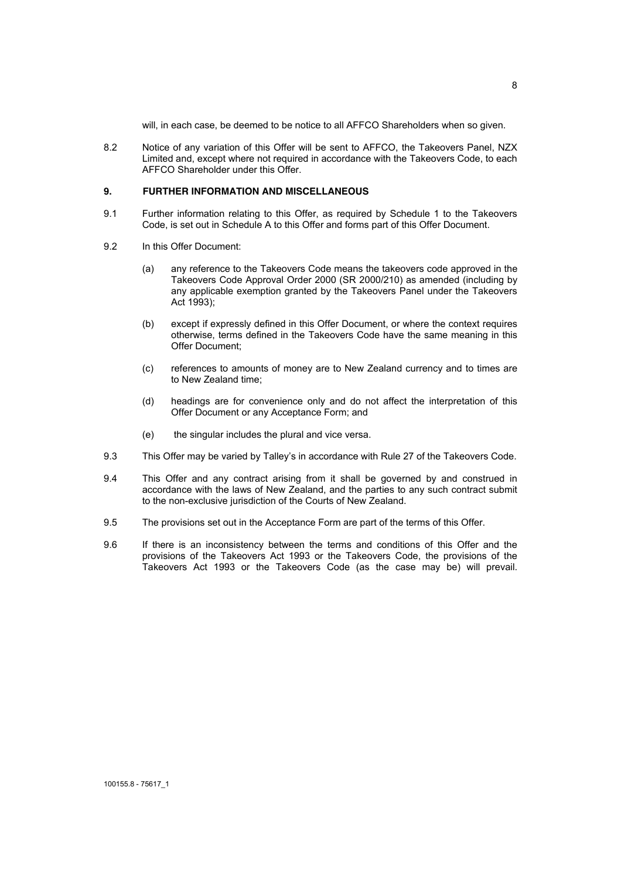will, in each case, be deemed to be notice to all AFFCO Shareholders when so given.

8.2 Notice of any variation of this Offer will be sent to AFFCO, the Takeovers Panel, NZX Limited and, except where not required in accordance with the Takeovers Code, to each AFFCO Shareholder under this Offer.

## **9. FURTHER INFORMATION AND MISCELLANEOUS**

- 9.1 Further information relating to this Offer, as required by Schedule 1 to the Takeovers Code, is set out in Schedule A to this Offer and forms part of this Offer Document.
- 9.2 In this Offer Document:
	- (a) any reference to the Takeovers Code means the takeovers code approved in the Takeovers Code Approval Order 2000 (SR 2000/210) as amended (including by any applicable exemption granted by the Takeovers Panel under the Takeovers Act 1993);
	- (b) except if expressly defined in this Offer Document, or where the context requires otherwise, terms defined in the Takeovers Code have the same meaning in this Offer Document;
	- (c) references to amounts of money are to New Zealand currency and to times are to New Zealand time;
	- (d) headings are for convenience only and do not affect the interpretation of this Offer Document or any Acceptance Form; and
	- (e) the singular includes the plural and vice versa.
- 9.3 This Offer may be varied by Talley's in accordance with Rule 27 of the Takeovers Code.
- 9.4 This Offer and any contract arising from it shall be governed by and construed in accordance with the laws of New Zealand, and the parties to any such contract submit to the non-exclusive jurisdiction of the Courts of New Zealand.
- 9.5 The provisions set out in the Acceptance Form are part of the terms of this Offer.
- 9.6 If there is an inconsistency between the terms and conditions of this Offer and the provisions of the Takeovers Act 1993 or the Takeovers Code, the provisions of the Takeovers Act 1993 or the Takeovers Code (as the case may be) will prevail.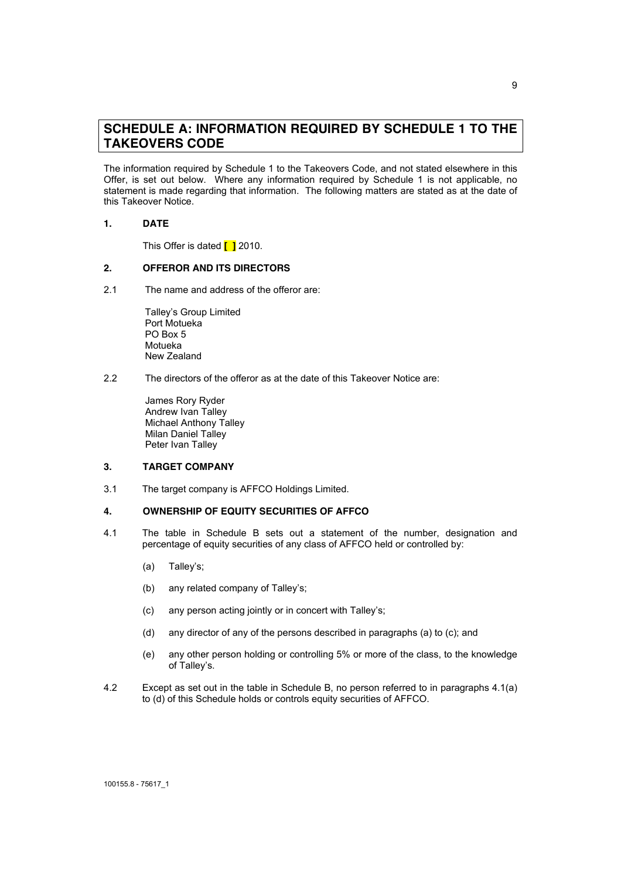## **SCHEDULE A: INFORMATION REQUIRED BY SCHEDULE 1 TO THE TAKEOVERS CODE**

The information required by Schedule 1 to the Takeovers Code, and not stated elsewhere in this Offer, is set out below. Where any information required by Schedule 1 is not applicable, no statement is made regarding that information. The following matters are stated as at the date of this Takeover Notice.

### **1. DATE**

This Offer is dated **[ ]** 2010.

### **2. OFFEROR AND ITS DIRECTORS**

2.1 The name and address of the offeror are:

Talley's Group Limited Port Motueka PO Box 5 Motueka New Zealand

2.2 The directors of the offeror as at the date of this Takeover Notice are:

James Rory Ryder Andrew Ivan Talley Michael Anthony Talley Milan Daniel Talley Peter Ivan Talley

#### **3. TARGET COMPANY**

3.1 The target company is AFFCO Holdings Limited.

#### **4. OWNERSHIP OF EQUITY SECURITIES OF AFFCO**

- 4.1 The table in Schedule B sets out a statement of the number, designation and percentage of equity securities of any class of AFFCO held or controlled by:
	- (a) Talley's;
	- (b) any related company of Talley's;
	- (c) any person acting jointly or in concert with Talley's;
	- (d) any director of any of the persons described in paragraphs (a) to (c); and
	- (e) any other person holding or controlling 5% or more of the class, to the knowledge of Talley's.
- 4.2 Except as set out in the table in Schedule B, no person referred to in paragraphs 4.1(a) to (d) of this Schedule holds or controls equity securities of AFFCO.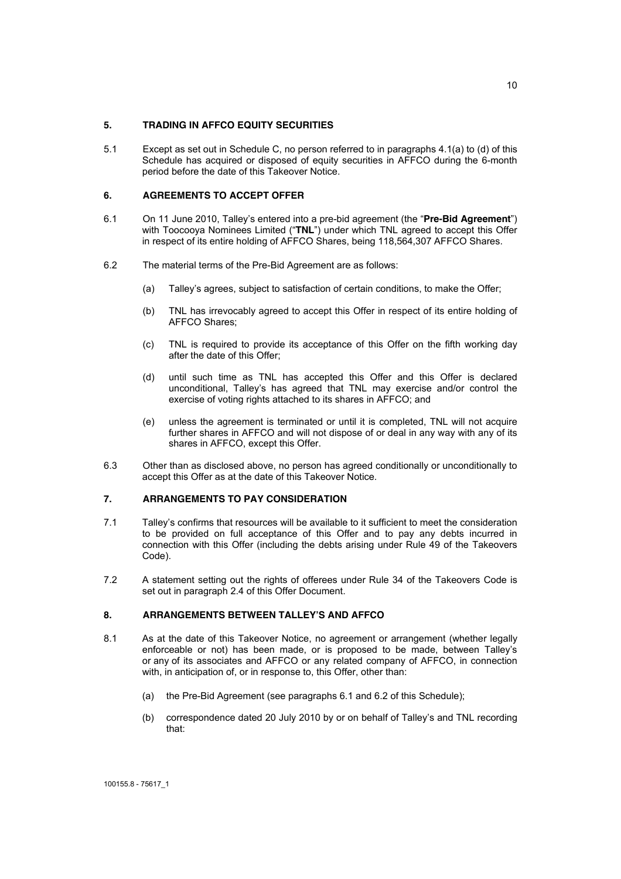#### **5. TRADING IN AFFCO EQUITY SECURITIES**

5.1 Except as set out in Schedule C, no person referred to in paragraphs 4.1(a) to (d) of this Schedule has acquired or disposed of equity securities in AFFCO during the 6-month period before the date of this Takeover Notice.

#### **6. AGREEMENTS TO ACCEPT OFFER**

- 6.1 On 11 June 2010, Talley's entered into a pre-bid agreement (the "**Pre-Bid Agreement**") with Toocooya Nominees Limited ("**TNL**") under which TNL agreed to accept this Offer in respect of its entire holding of AFFCO Shares, being 118,564,307 AFFCO Shares.
- 6.2 The material terms of the Pre-Bid Agreement are as follows:
	- (a) Talley's agrees, subject to satisfaction of certain conditions, to make the Offer;
	- (b) TNL has irrevocably agreed to accept this Offer in respect of its entire holding of AFFCO Shares;
	- (c) TNL is required to provide its acceptance of this Offer on the fifth working day after the date of this Offer;
	- (d) until such time as TNL has accepted this Offer and this Offer is declared unconditional, Talley's has agreed that TNL may exercise and/or control the exercise of voting rights attached to its shares in AFFCO; and
	- (e) unless the agreement is terminated or until it is completed, TNL will not acquire further shares in AFFCO and will not dispose of or deal in any way with any of its shares in AFFCO, except this Offer.
- 6.3 Other than as disclosed above, no person has agreed conditionally or unconditionally to accept this Offer as at the date of this Takeover Notice.

### **7. ARRANGEMENTS TO PAY CONSIDERATION**

- 7.1 Talley's confirms that resources will be available to it sufficient to meet the consideration to be provided on full acceptance of this Offer and to pay any debts incurred in connection with this Offer (including the debts arising under Rule 49 of the Takeovers Code).
- 7.2 A statement setting out the rights of offerees under Rule 34 of the Takeovers Code is set out in paragraph 2.4 of this Offer Document.

#### **8. ARRANGEMENTS BETWEEN TALLEY'S AND AFFCO**

- 8.1 As at the date of this Takeover Notice, no agreement or arrangement (whether legally enforceable or not) has been made, or is proposed to be made, between Talley's or any of its associates and AFFCO or any related company of AFFCO, in connection with, in anticipation of, or in response to, this Offer, other than:
	- (a) the Pre-Bid Agreement (see paragraphs 6.1 and 6.2 of this Schedule);
	- (b) correspondence dated 20 July 2010 by or on behalf of Talley's and TNL recording that: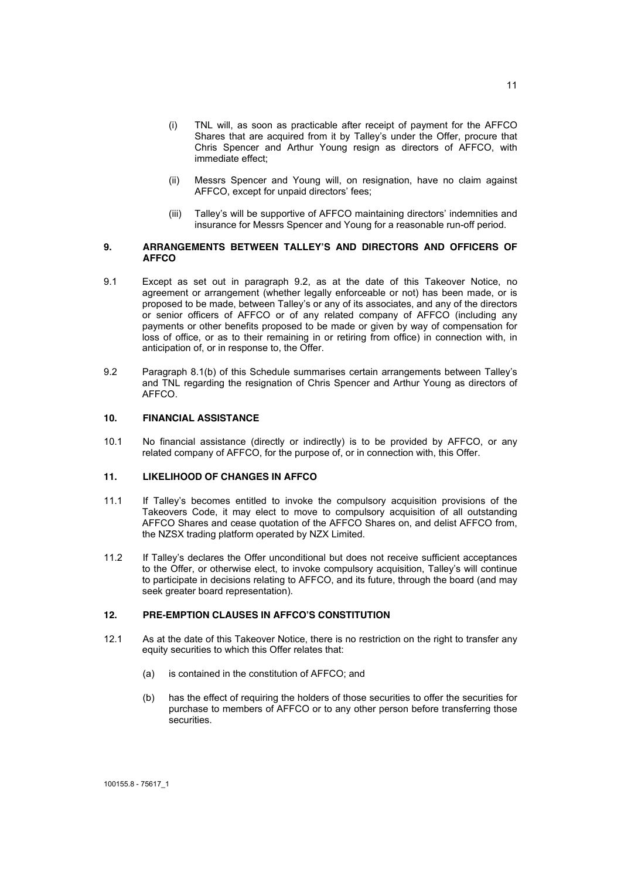- (i) TNL will, as soon as practicable after receipt of payment for the AFFCO Shares that are acquired from it by Talley's under the Offer, procure that Chris Spencer and Arthur Young resign as directors of AFFCO, with immediate effect;
- (ii) Messrs Spencer and Young will, on resignation, have no claim against AFFCO, except for unpaid directors' fees;
- (iii) Talley's will be supportive of AFFCO maintaining directors' indemnities and insurance for Messrs Spencer and Young for a reasonable run-off period.

#### **9. ARRANGEMENTS BETWEEN TALLEY'S AND DIRECTORS AND OFFICERS OF AFFCO**

- 9.1 Except as set out in paragraph 9.2, as at the date of this Takeover Notice, no agreement or arrangement (whether legally enforceable or not) has been made, or is proposed to be made, between Talley's or any of its associates, and any of the directors or senior officers of AFFCO or of any related company of AFFCO (including any payments or other benefits proposed to be made or given by way of compensation for loss of office, or as to their remaining in or retiring from office) in connection with, in anticipation of, or in response to, the Offer.
- 9.2 Paragraph 8.1(b) of this Schedule summarises certain arrangements between Talley's and TNL regarding the resignation of Chris Spencer and Arthur Young as directors of AFFCO.

## **10. FINANCIAL ASSISTANCE**

10.1 No financial assistance (directly or indirectly) is to be provided by AFFCO, or any related company of AFFCO, for the purpose of, or in connection with, this Offer.

#### **11. LIKELIHOOD OF CHANGES IN AFFCO**

- 11.1 If Talley's becomes entitled to invoke the compulsory acquisition provisions of the Takeovers Code, it may elect to move to compulsory acquisition of all outstanding AFFCO Shares and cease quotation of the AFFCO Shares on, and delist AFFCO from, the NZSX trading platform operated by NZX Limited.
- 11.2 If Talley's declares the Offer unconditional but does not receive sufficient acceptances to the Offer, or otherwise elect, to invoke compulsory acquisition, Talley's will continue to participate in decisions relating to AFFCO, and its future, through the board (and may seek greater board representation).

#### **12. PRE-EMPTION CLAUSES IN AFFCO'S CONSTITUTION**

- 12.1 As at the date of this Takeover Notice, there is no restriction on the right to transfer any equity securities to which this Offer relates that:
	- (a) is contained in the constitution of AFFCO; and
	- (b) has the effect of requiring the holders of those securities to offer the securities for purchase to members of AFFCO or to any other person before transferring those securities.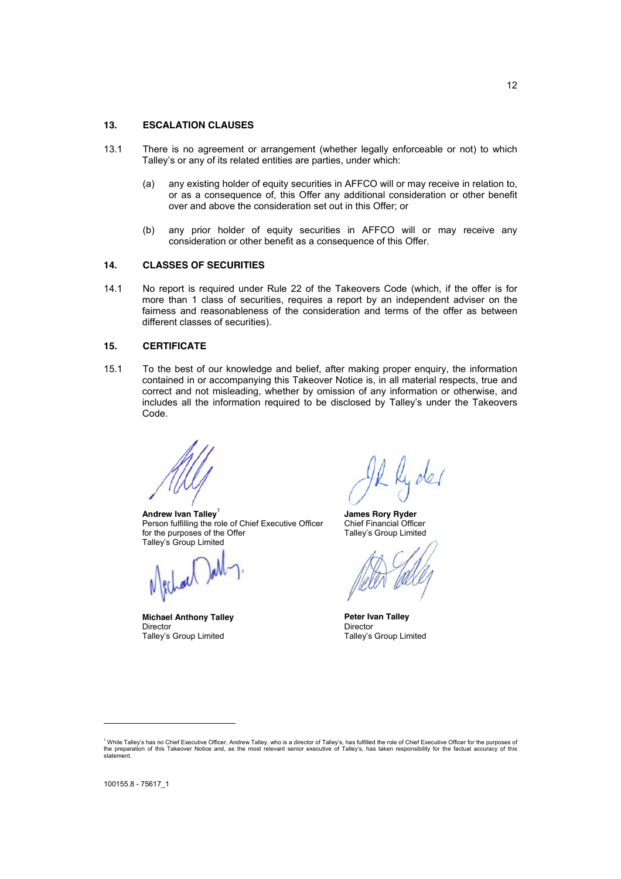#### **13. ESCALATION CLAUSES**

- 13.1 There is no agreement or arrangement (whether legally enforceable or not) to which Talley's or any of its related entities are parties, under which:
	- (a) any existing holder of equity securities in AFFCO will or may receive in relation to, or as a consequence of, this Offer any additional consideration or other benefit over and above the consideration set out in this Offer; or
	- (b) any prior holder of equity securities in AFFCO will or may receive any consideration or other benefit as a consequence of this Offer.

#### **14. CLASSES OF SECURITIES**

14.1 No report is required under Rule 22 of the Takeovers Code (which, if the offer is for more than 1 class of securities, requires a report by an independent adviser on the fairness and reasonableness of the consideration and terms of the offer as between different classes of securities).

#### **15. CERTIFICATE**

15.1 To the best of our knowledge and belief, after making proper enquiry, the information contained in or accompanying this Takeover Notice is, in all material respects, true and correct and not misleading, whether by omission of any information or otherwise, and includes all the information required to be disclosed by Talley's under the Takeovers Code.

**Andrew Ivan Talley**<sup>1</sup> Person fulfilling the role of Chief Executive Officer for the purposes of the Offer Talley's Group Limited

**Michael Anthony Talley** Director Talley's Group Limited

**James Rory Ryder** Chief Financial Officer Talley's Group Limited

**Peter Ivan Talley** Director Talley's Group Limited

<sup>&</sup>lt;sup>1</sup> While Talley's has no Chief Executive Officer, Andrew Talley, who is a director of Talley's, has fulfilled the role of Chief Executive Officer for the purposes of <sup>1</sup> While Talley's has no Chief Executive Officer, Andrew Talley, who is a director of Talley's, has fulfilled the role of Chief Executive Officer for the purposes of<br>the preparation of this Takeover Notice and, as the mos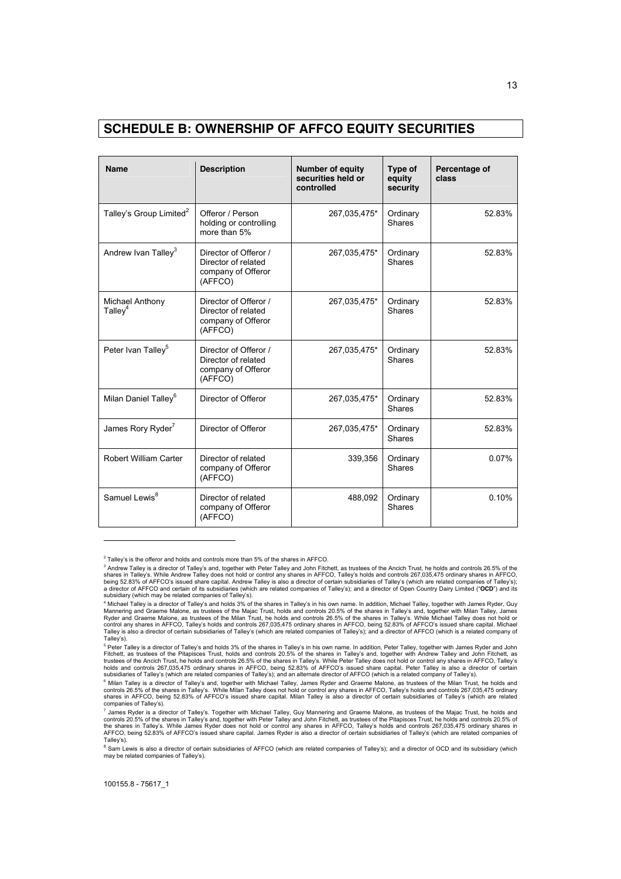## **SCHEDULE B: OWNERSHIP OF AFFCO EQUITY SECURITIES**

| <b>Name</b>                         | <b>Description</b>                                                            | Number of equity<br>securities held or<br>controlled | Type of<br>equity<br>security | Percentage of<br>class |
|-------------------------------------|-------------------------------------------------------------------------------|------------------------------------------------------|-------------------------------|------------------------|
| Talley's Group Limited <sup>2</sup> | Offeror / Person<br>holding or controlling<br>more than 5%                    | 267,035,475*                                         | Ordinary<br><b>Shares</b>     | 52.83%                 |
| Andrew Ivan Talley <sup>3</sup>     | Director of Offeror /<br>Director of related<br>company of Offeror<br>(AFFCO) | 267,035,475*                                         | Ordinary<br><b>Shares</b>     | 52.83%                 |
| Michael Anthony<br>Talley $4$       | Director of Offeror /<br>Director of related<br>company of Offeror<br>(AFFCO) | 267,035,475*                                         | Ordinary<br><b>Shares</b>     | 52.83%                 |
| Peter Ivan Talley <sup>5</sup>      | Director of Offeror /<br>Director of related<br>company of Offeror<br>(AFFCO) | 267,035,475*                                         | Ordinary<br>Shares            | 52.83%                 |
| Milan Daniel Talley <sup>6</sup>    | Director of Offeror                                                           | 267,035,475*                                         | Ordinary<br>Shares            | 52.83%                 |
| James Rory Ryder <sup>7</sup>       | Director of Offeror                                                           | 267,035,475*                                         | Ordinary<br>Shares            | 52.83%                 |
| Robert William Carter               | Director of related<br>company of Offeror<br>(AFFCO)                          | 339,356                                              | Ordinary<br>Shares            | 0.07%                  |
| Samuel Lewis <sup>8</sup>           | Director of related<br>company of Offeror<br>(AFFCO)                          | 488,092                                              | Ordinary<br><b>Shares</b>     | 0.10%                  |

 $2$  Talley's is the offeror and holds and controls more than 5% of the shares in AFFCO.

<sup>&</sup>lt;sup>3</sup> Andrew Talley is a director of Talley's and, together with Peter Talley and John Fitchett, as trustees of the Ancich Trust, he holds and controls 26.5% of the<br>shares in Talley's. While Andrew Talley does not hold or co being 52.83% of AFFCO's issued share capital. Andrew Talley is also a director of certain subsidiaries of Talley's (which are related companies of Talley's);<br>a director of AFFCO and certain of its subsidiaries (which are r subsidiary (which may be related companies of Talley's).

<sup>&</sup>lt;sup>4</sup> Michael Talley is a director of Talley's and holds 3% of the shares in Talley's in his own name. In addition, Michael Talley, together with James Ryder, Guy<br>Mannering and Graeme Malone, as trustees of the Majac Trust, Talley is also a director of certain subsidiaries of Talley's (which are related companies of Talley's); and a director of AFFCO (which is a related company of Talley's).

<sup>&</sup>lt;sup>5</sup> Peter Talley is a director of Talley's and holds 3% of the shares in Talley's in his own name. In addition, Peter Talley, together with James Ryder and John<br>Fitchett, as trustees of the Pitapisces Trust, holds and cont trustees of the Ancich Trust, he holds and controls 26.5% of the shares in Talley's. While Peter Talley does not hold or control any shares in AFFCO, Talley's<br>holds and controls 267,035,475 ordinary shares in AFFCO, being

subsidiaries of Talley's (which are related companies of Talley's); and an alternate director of AFFCO (which is a related company of Talley's).<br><sup>6</sup> Milan Talley is a director of Talley's and, together with Michael Talley, companies of Talley's).

<sup>&</sup>lt;sup>7</sup> James Ryder is a director of Talley's. Together with Michael Talley, Guy Mannering and Graeme Malone, as trustees of the Majac Trust, he holds and controls 20.5% of the shares in Talley's and, together with Peter Talley and John Fitchett, as trustees of the Pitapisces Trust, he holds and controls 20.5% of<br>the shares in Talley's. While James Ryder does not hold or con Talley's).

<sup>&</sup>lt;sup>8</sup> Sam Lewis is also a director of certain subsidiaries of AFFCO (which are related companies of Talley's); and a director of OCD and its subsidiary (which may be related companies of Talley's).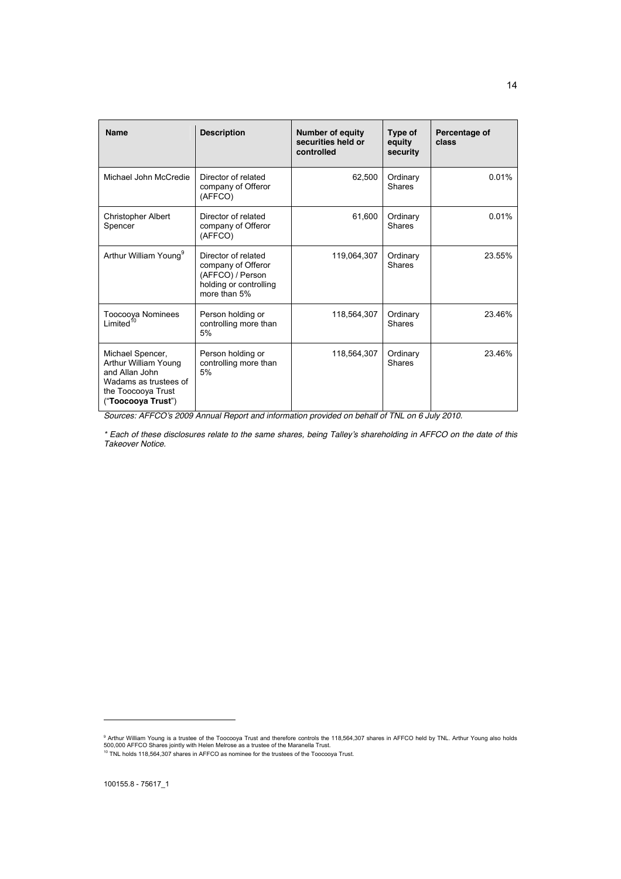| <b>Name</b>                                                                                                                     | <b>Description</b>                                                                                      | <b>Number of equity</b><br>securities held or<br>controlled | Type of<br>equity<br>security | Percentage of<br>class |
|---------------------------------------------------------------------------------------------------------------------------------|---------------------------------------------------------------------------------------------------------|-------------------------------------------------------------|-------------------------------|------------------------|
| Michael John McCredie                                                                                                           | Director of related<br>company of Offeror<br>(AFFCO)                                                    | 62,500                                                      | Ordinary<br><b>Shares</b>     | 0.01%                  |
| <b>Christopher Albert</b><br>Spencer                                                                                            | Director of related<br>company of Offeror<br>(AFFCO)                                                    | 61,600                                                      | Ordinary<br>Shares            | 0.01%                  |
| Arthur William Young <sup>9</sup>                                                                                               | Director of related<br>company of Offeror<br>(AFFCO) / Person<br>holding or controlling<br>more than 5% | 119,064,307                                                 | Ordinary<br>Shares            | 23.55%                 |
| Toocooya Nominees<br>Limited <sup>10</sup>                                                                                      | Person holding or<br>controlling more than<br>5%                                                        | 118,564,307                                                 | Ordinary<br><b>Shares</b>     | 23.46%                 |
| Michael Spencer,<br>Arthur William Young<br>and Allan John<br>Wadams as trustees of<br>the Toocooya Trust<br>("Toocooya Trust") | Person holding or<br>controlling more than<br>5%                                                        | 118,564,307                                                 | Ordinary<br>Shares            | 23.46%                 |

*Sources: AFFCO's 2009 Annual Report and information provided on behalf of TNL on 6 July 2010.*

*\* Each of these disclosures relate to the same shares, being Talley's shareholding in AFFCO on the date of this Takeover Notice.* 

14

<sup>&</sup>lt;sup>9</sup> Arthur William Young is a trustee of the Toocooya Trust and therefore controls the 118,564,307 shares in AFFCO held by TNL. Arthur Young also holds<br>500,000 AFFCO Shares jointly with Helen Melrose as a trustee of the Ma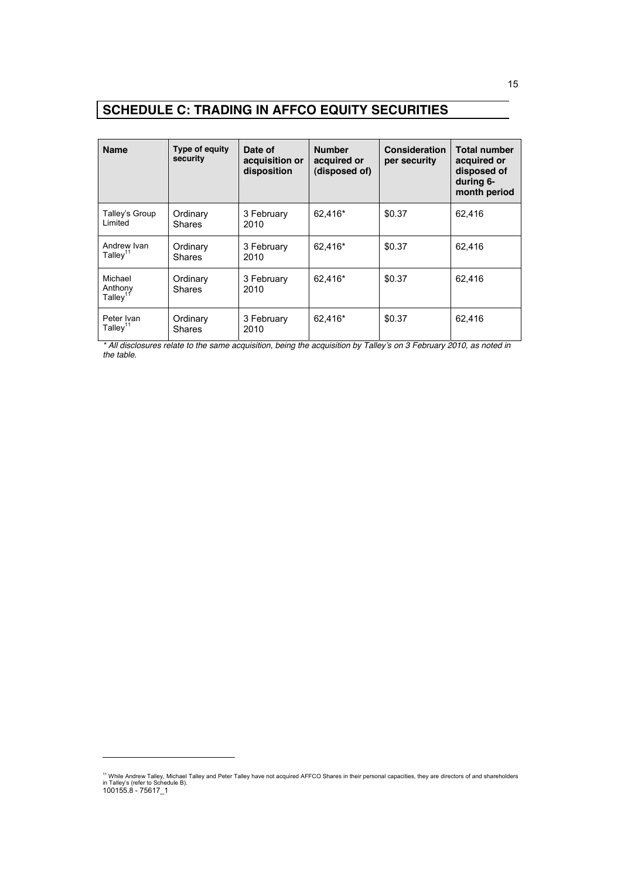# **SCHEDULE C: TRADING IN AFFCO EQUITY SECURITIES**

| <b>Name</b>                          | Type of equity<br>security | Date of<br>acquisition or<br>disposition | <b>Number</b><br>acquired or<br>(disposed of) | <b>Consideration</b><br>per security | <b>Total number</b><br>acquired or<br>disposed of<br>during 6-<br>month period |
|--------------------------------------|----------------------------|------------------------------------------|-----------------------------------------------|--------------------------------------|--------------------------------------------------------------------------------|
| Talley's Group<br>Limited            | Ordinary<br><b>Shares</b>  | 3 February<br>2010                       | 62,416*                                       | \$0.37                               | 62.416                                                                         |
| Andrew Ivan<br>Talley $11$           | Ordinary<br><b>Shares</b>  | 3 February<br>2010                       | 62.416*                                       | \$0.37                               | 62.416                                                                         |
| Michael<br>Anthony<br>$T$ allev $11$ | Ordinary<br><b>Shares</b>  | 3 February<br>2010                       | 62.416*                                       | \$0.37                               | 62.416                                                                         |
| Peter Ivan<br>Talley $11$            | Ordinary<br><b>Shares</b>  | 3 February<br>2010                       | 62,416*                                       | \$0.37                               | 62,416                                                                         |

*\* All disclosures relate to the same acquisition, being the acquisition by Talley's on 3 February 2010, as noted in the table.* 

<sup>100155.8 - 75617</sup>\_1 <sup>11</sup> While Andrew Talley, Michael Talley and Peter Talley have not acquired AFFCO Shares in their personal capacities, they are directors of and shareholders<br>in Talley's (refer to Schedule B).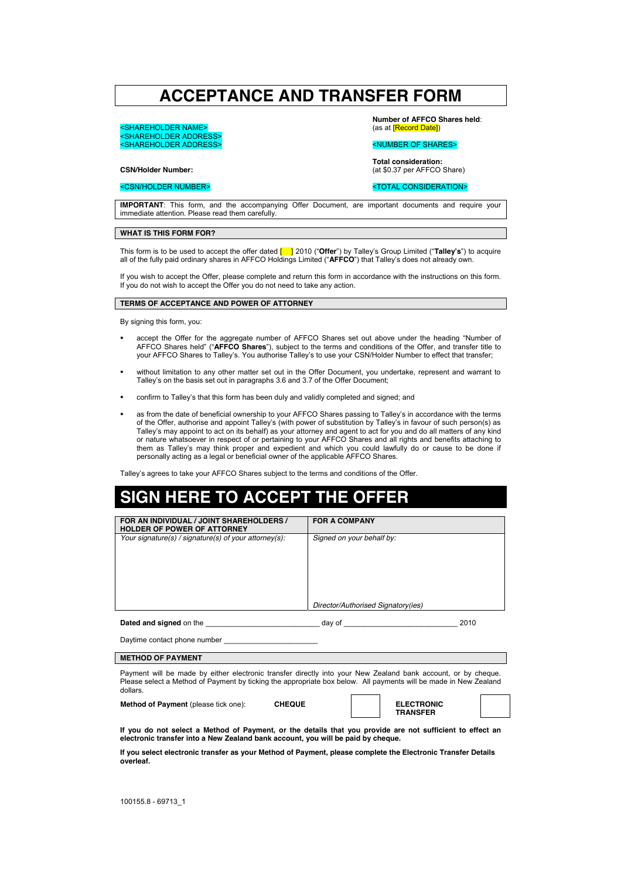# **ACCEPTANCE AND TRANSFER FORM**

<SHAREHOLDER NAME> <SHAREHOLDER ADDRESS> SHAREHOLDER ADDRESS>

**Number of AFFCO Shares held**: (as at [Record Date])

#### <NUMBER OF SHARES>

**Total consideration:** (at \$0.37 per AFFCO Share)

## **CSN/Holder Number:**  <CSN/HOLDER NUMBER>

#### <TOTAL CONSIDERATION>

**IMPORTANT**: This form, and the accompanying Offer Document, are important documents and require your immediate attention. Please read them carefully.

#### **WHAT IS THIS FORM FOR?**

This form is to be used to accept the offer dated [ ] 2010 ("**Offer**") by Talley's Group Limited ("**Talley's**") to acquire all of the fully paid ordinary shares in AFFCO Holdings Limited ("**AFFCO**") that Talley's does not already own.

If you wish to accept the Offer, please complete and return this form in accordance with the instructions on this form. If you do not wish to accept the Offer you do not need to take any action.

#### **TERMS OF ACCEPTANCE AND POWER OF ATTORNEY**

By signing this form, you:

- accept the Offer for the aggregate number of AFFCO Shares set out above under the heading "Number of AFFCO Shares held" ("**AFFCO Shares**"), subject to the terms and conditions of the Offer, and transfer title to your AFFCO Shares to Talley's. You authorise Talley's to use your CSN/Holder Number to effect that transfer;
- without limitation to any other matter set out in the Offer Document, you undertake, represent and warrant to Talley's on the basis set out in paragraphs 3.6 and 3.7 of the Offer Document;
- confirm to Talley's that this form has been duly and validly completed and signed; and
- as from the date of beneficial ownership to your AFFCO Shares passing to Talley's in accordance with the terms of the Offer, authorise and appoint Talley's (with power of substitution by Talley's in favour of such person(s) as Talley's may appoint to act on its behalf) as your attorney and agent to act for you and do all matters of any kind or nature whatsoever in respect of or pertaining to your AFFCO Shares and all rights and benefits attaching to them as Talley's may think proper and expedient and which you could lawfully do or cause to be done if personally acting as a legal or beneficial owner of the applicable AFFCO Shares.

Talley's agrees to take your AFFCO Shares subject to the terms and conditions of the Offer.

# **SIGN HERE TO ACCEPT THE OFFER**

| FOR AN INDIVIDUAL / JOINT SHAREHOLDERS /<br><b>HOLDER OF POWER OF ATTORNEY</b>                                                                                                                                                                | <b>FOR A COMPANY</b>                                                                                      |  |  |
|-----------------------------------------------------------------------------------------------------------------------------------------------------------------------------------------------------------------------------------------------|-----------------------------------------------------------------------------------------------------------|--|--|
| Your signature(s) / signature(s) of your attorney(s):                                                                                                                                                                                         | Signed on your behalf by:                                                                                 |  |  |
|                                                                                                                                                                                                                                               | Director/Authorised Signatory(ies)                                                                        |  |  |
| <b>Dated and signed</b> on the same of the same of the same of the same of the same of the same of the same of the same of the same of the same of the same of the same of the same of the same of the same of the same of the same           | 2010                                                                                                      |  |  |
| Daytime contact phone number                                                                                                                                                                                                                  |                                                                                                           |  |  |
| <b>METHOD OF PAYMENT</b>                                                                                                                                                                                                                      |                                                                                                           |  |  |
| Payment will be made by either electronic transfer directly into your New Zealand bank account, or by cheque.<br>Please select a Method of Payment by ticking the appropriate box below. All payments will be made in New Zealand<br>dollars. |                                                                                                           |  |  |
| <b>Method of Payment</b> (please tick one):<br><b>CHEQUE</b>                                                                                                                                                                                  | <b>ELECTRONIC</b><br><b>TRANSFER</b>                                                                      |  |  |
|                                                                                                                                                                                                                                               | If you do not select a Method of Payment, or the details that you provide are not sufficient to effect an |  |  |

**If you do not select a Method of Payment, or the details that you provide are not sufficient to effect an electronic transfer into a New Zealand bank account, you will be paid by cheque.** 

**If you select electronic transfer as your Method of Payment, please complete the Electronic Transfer Details overleaf.**